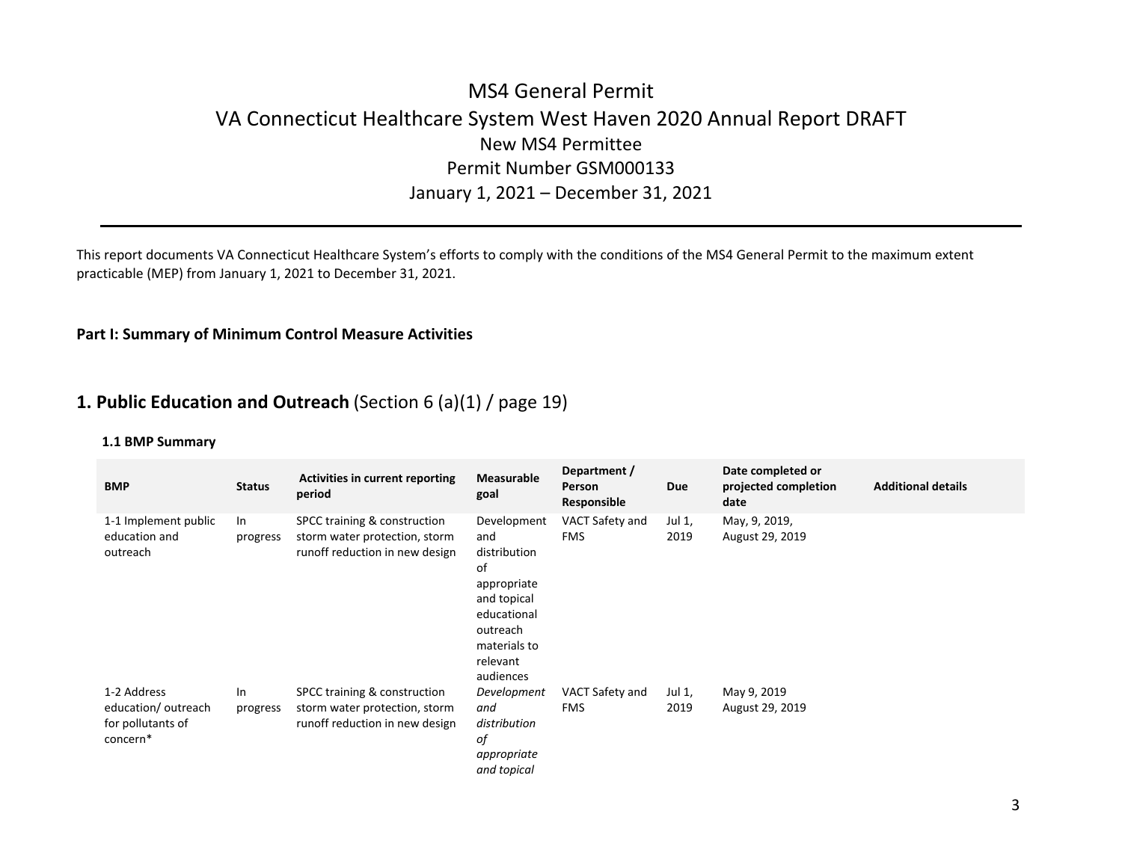# MS4 General Permit VA Connecticut Healthcare System West Haven 2020 Annual Report DRAFT New MS4 Permittee Permit Number GSM000133January 1, 2021 – December 31, 2021

This report documents VA Connecticut Healthcare System's efforts to comply with the conditions of the MS4 General Permit to the maximum extent practicable (MEP) from January 1, 2021 to December 31, 2021.

## **Part I: Summary of Minimum Control Measure Activities**

# **1. Public Education and Outreach** (Section 6 (a)(1) / page 19)

| <b>BMP</b>                                                         | <b>Status</b>  | <b>Activities in current reporting</b><br>period                                                | <b>Measurable</b><br>goal                                                                                                                  | Department /<br>Person<br>Responsible | Due            | Date completed or<br>projected completion<br>date | <b>Additional details</b> |
|--------------------------------------------------------------------|----------------|-------------------------------------------------------------------------------------------------|--------------------------------------------------------------------------------------------------------------------------------------------|---------------------------------------|----------------|---------------------------------------------------|---------------------------|
| 1-1 Implement public<br>education and<br>outreach                  | In<br>progress | SPCC training & construction<br>storm water protection, storm<br>runoff reduction in new design | Development<br>and<br>distribution<br>of<br>appropriate<br>and topical<br>educational<br>outreach<br>materials to<br>relevant<br>audiences | VACT Safety and<br><b>FMS</b>         | Jul 1,<br>2019 | May, 9, 2019,<br>August 29, 2019                  |                           |
| 1-2 Address<br>education/outreach<br>for pollutants of<br>concern* | In<br>progress | SPCC training & construction<br>storm water protection, storm<br>runoff reduction in new design | Development<br>and<br>distribution<br>оf<br>appropriate<br>and topical                                                                     | VACT Safety and<br><b>FMS</b>         | Jul 1,<br>2019 | May 9, 2019<br>August 29, 2019                    |                           |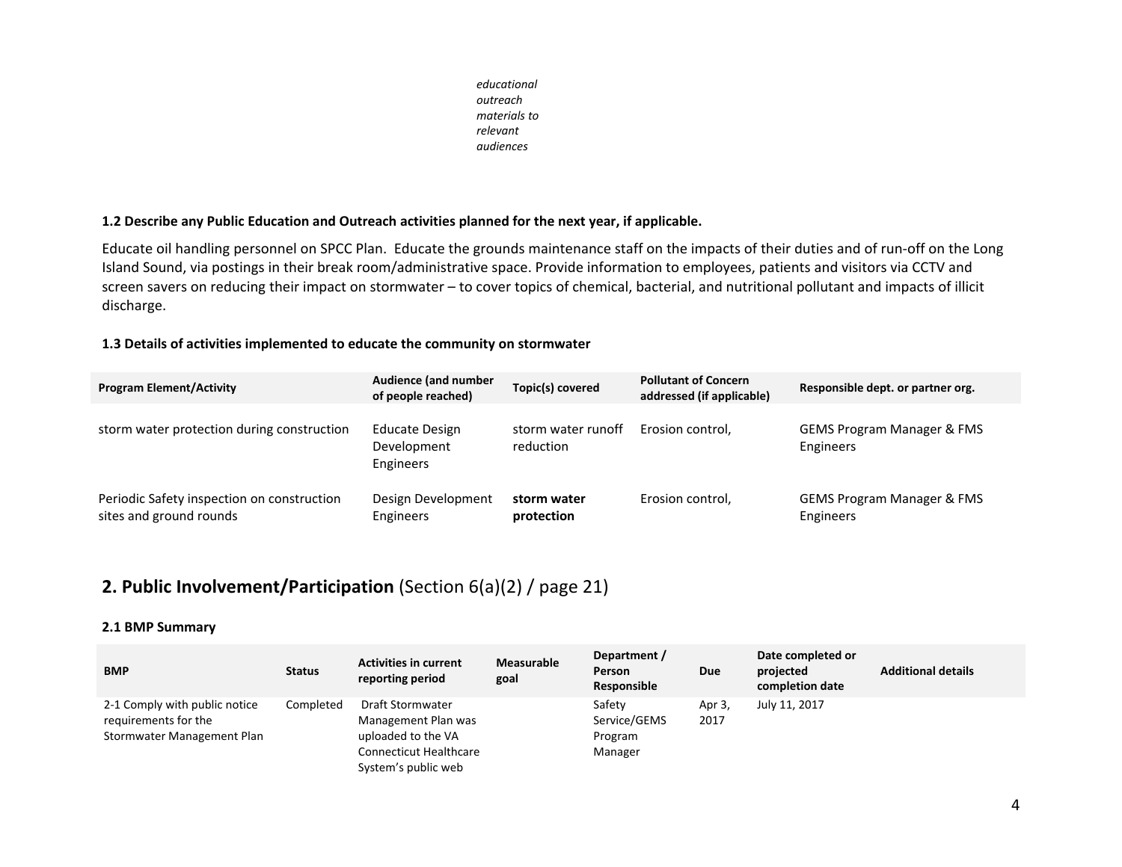*educationaloutreach materials torelevantaudiences*

### **1.2 Describe any Public Education and Outreach activities planned for the next year, if applicable.**

Educate oil handling personnel on SPCC Plan. Educate the grounds maintenance staff on the impacts of their duties and of run‐off on the Long Island Sound, via postings in their break room/administrative space. Provide information to employees, patients and visitors via CCTV and screen savers on reducing their impact on stormwater – to cover topics of chemical, bacterial, and nutritional pollutant and impacts of illicit discharge.

## **1.3 Details of activities implemented to educate the community on stormwater**

| <b>Program Element/Activity</b>                                       | Audience (and number<br>of people reached)               | Topic(s) covered                | <b>Pollutant of Concern</b><br>addressed (if applicable) | Responsible dept. or partner org.                  |
|-----------------------------------------------------------------------|----------------------------------------------------------|---------------------------------|----------------------------------------------------------|----------------------------------------------------|
| storm water protection during construction                            | <b>Educate Design</b><br>Development<br><b>Engineers</b> | storm water runoff<br>reduction | Erosion control,                                         | <b>GEMS Program Manager &amp; FMS</b><br>Engineers |
| Periodic Safety inspection on construction<br>sites and ground rounds | Design Development<br>Engineers                          | storm water<br>protection       | Erosion control.                                         | <b>GEMS Program Manager &amp; FMS</b><br>Engineers |

# **2. Public Involvement/Participation** (Section 6(a)(2) / page 21)

| <b>BMP</b>                                                                          | <b>Status</b> | <b>Activities in current</b><br>reporting period                                                                      | <b>Measurable</b><br>goal | Department /<br><b>Person</b><br>Responsible | Due            | Date completed or<br>projected<br>completion date | <b>Additional details</b> |
|-------------------------------------------------------------------------------------|---------------|-----------------------------------------------------------------------------------------------------------------------|---------------------------|----------------------------------------------|----------------|---------------------------------------------------|---------------------------|
| 2-1 Comply with public notice<br>requirements for the<br>Stormwater Management Plan | Completed     | Draft Stormwater<br>Management Plan was<br>uploaded to the VA<br><b>Connecticut Healthcare</b><br>System's public web |                           | Safety<br>Service/GEMS<br>Program<br>Manager | Apr 3,<br>2017 | July 11, 2017                                     |                           |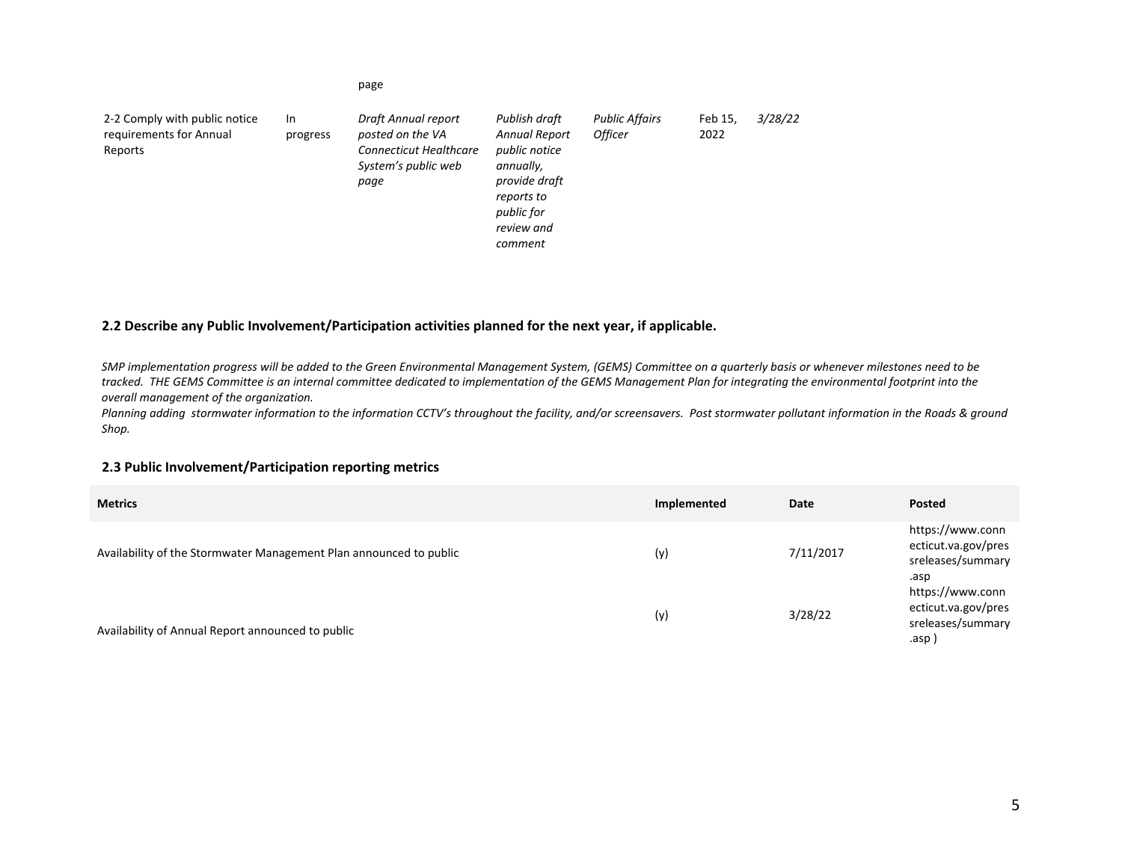| 2-2 Comply with public notice<br>requirements for Annual<br>Reports | In.<br>progress | Draft Annual report<br>posted on the VA<br><b>Connecticut Healthcare</b><br>System's public web<br>page | Publish draft<br><b>Annual Report</b><br>public notice<br>annually,<br>provide draft<br>reports to<br>public for<br>review and<br>comment | <b>Public Affairs</b><br><b>Officer</b> | Feb 15,<br>2022 | 3/28/22 |
|---------------------------------------------------------------------|-----------------|---------------------------------------------------------------------------------------------------------|-------------------------------------------------------------------------------------------------------------------------------------------|-----------------------------------------|-----------------|---------|
|---------------------------------------------------------------------|-----------------|---------------------------------------------------------------------------------------------------------|-------------------------------------------------------------------------------------------------------------------------------------------|-----------------------------------------|-----------------|---------|

### **2.2 Describe any Public Involvement/Participation activities planned for the next year, if applicable.**

page

SMP implementation progress will be added to the Green Environmental Management System, (GEMS) Committee on a quarterly basis or whenever milestones need to be tracked. THE GEMS Committee is an internal committee dedicated to implementation of the GEMS Management Plan for integrating the environmental footprint into the *overall management of the organization.*

Planning adding stormwater information to the information CCTV's throughout the facility, and/or screensavers. Post stormwater pollutant information in the Roads & ground *Shop.*

#### **2.3 Public Involvement/Participation reporting metrics**

| <b>Metrics</b>                                                     | Implemented | Date      | Posted                                                               |
|--------------------------------------------------------------------|-------------|-----------|----------------------------------------------------------------------|
| Availability of the Stormwater Management Plan announced to public | (y)         | 7/11/2017 | https://www.conn<br>ecticut.va.gov/pres<br>sreleases/summary<br>.asp |
| Availability of Annual Report announced to public                  | (y)         | 3/28/22   | https://www.conn<br>ecticut.va.gov/pres<br>sreleases/summary<br>.asp |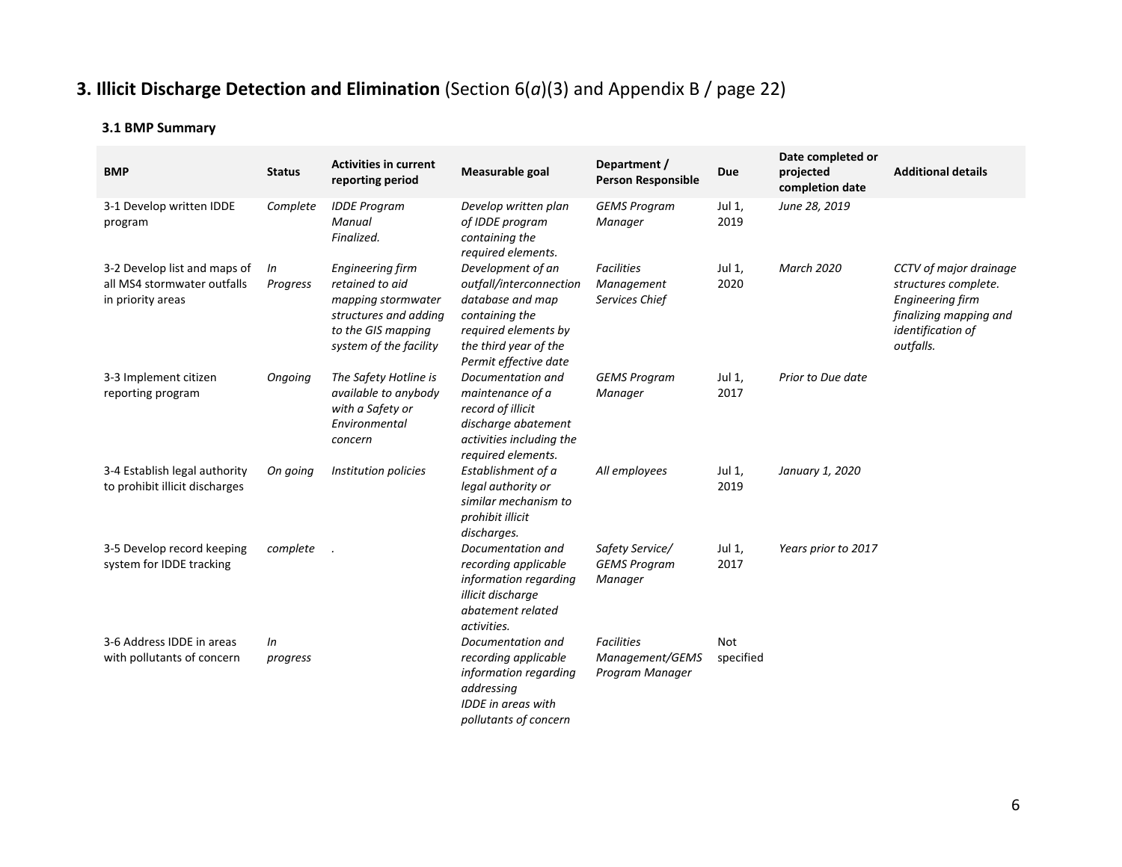# **3. Illicit Discharge Detection and Elimination** (Section 6(*a*)(3) and Appendix B / page 22)

| <b>BMP</b>                                                                       | <b>Status</b>  | <b>Activities in current</b><br>reporting period                                                                                   | Measurable goal                                                                                                                                              | Department /<br><b>Person Responsible</b>               | Due                     | Date completed or<br>projected<br>completion date | <b>Additional details</b>                                                                                                             |
|----------------------------------------------------------------------------------|----------------|------------------------------------------------------------------------------------------------------------------------------------|--------------------------------------------------------------------------------------------------------------------------------------------------------------|---------------------------------------------------------|-------------------------|---------------------------------------------------|---------------------------------------------------------------------------------------------------------------------------------------|
| 3-1 Develop written IDDE<br>program                                              | Complete       | <b>IDDE Program</b><br>Manual<br>Finalized.                                                                                        | Develop written plan<br>of IDDE program<br>containing the<br>required elements.                                                                              | <b>GEMS Program</b><br>Manager                          | Jul 1,<br>2019          | June 28, 2019                                     |                                                                                                                                       |
| 3-2 Develop list and maps of<br>all MS4 stormwater outfalls<br>in priority areas | In<br>Progress | Engineering firm<br>retained to aid<br>mapping stormwater<br>structures and adding<br>to the GIS mapping<br>system of the facility | Development of an<br>outfall/interconnection<br>database and map<br>containing the<br>required elements by<br>the third year of the<br>Permit effective date | <b>Facilities</b><br>Management<br>Services Chief       | Jul 1,<br>2020          | <b>March 2020</b>                                 | CCTV of major drainage<br>structures complete.<br><b>Engineering firm</b><br>finalizing mapping and<br>identification of<br>outfalls. |
| 3-3 Implement citizen<br>reporting program                                       | Ongoing        | The Safety Hotline is<br>available to anybody<br>with a Safety or<br>Environmental<br>concern                                      | Documentation and<br>maintenance of a<br>record of illicit<br>discharge abatement<br>activities including the<br>required elements.                          | <b>GEMS Program</b><br>Manager                          | Jul 1,<br>2017          | Prior to Due date                                 |                                                                                                                                       |
| 3-4 Establish legal authority<br>to prohibit illicit discharges                  | On going       | Institution policies                                                                                                               | Establishment of a<br>legal authority or<br>similar mechanism to<br>prohibit illicit<br>discharges.                                                          | All employees                                           | Jul 1,<br>2019          | January 1, 2020                                   |                                                                                                                                       |
| 3-5 Develop record keeping<br>system for IDDE tracking                           | complete       |                                                                                                                                    | Documentation and<br>recording applicable<br>information regarding<br>illicit discharge<br>abatement related<br>activities.                                  | Safety Service/<br><b>GEMS Program</b><br>Manager       | Jul 1,<br>2017          | Years prior to 2017                               |                                                                                                                                       |
| 3-6 Address IDDE in areas<br>with pollutants of concern                          | In<br>progress |                                                                                                                                    | Documentation and<br>recording applicable<br>information regarding<br>addressing<br>IDDE in areas with<br>pollutants of concern                              | <b>Facilities</b><br>Management/GEMS<br>Program Manager | <b>Not</b><br>specified |                                                   |                                                                                                                                       |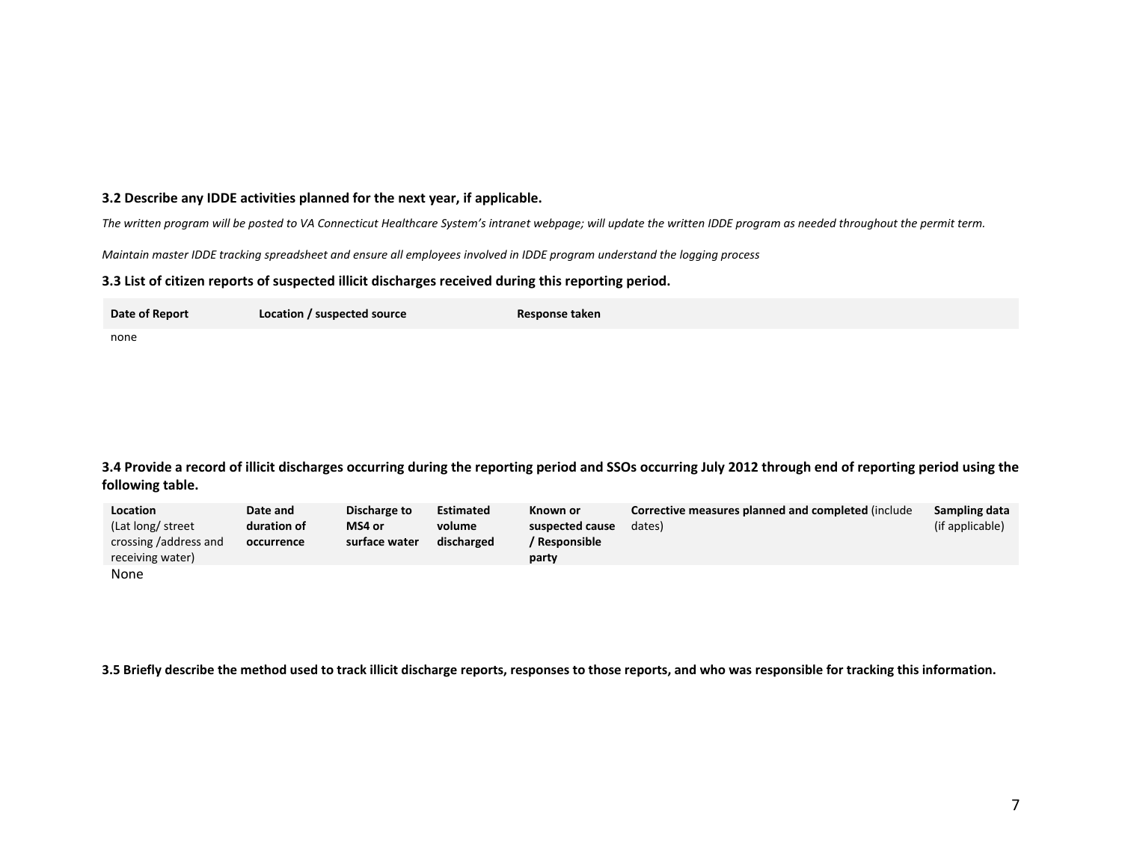#### **3.2 Describe any IDDE activities planned for the next year, if applicable.**

The written program will be posted to VA Connecticut Healthcare System's intranet webpage; will update the written IDDE program as needed throughout the permit term.

Maintain master IDDE tracking spreadsheet and ensure all employees involved in IDDE program understand the logging process

#### **3.3 List of citizen reports of suspected illicit discharges received during this reporting period.**

| Date of Report | Location / suspected source | Response taken |
|----------------|-----------------------------|----------------|
| none           |                             |                |

3.4 Provide a record of illicit discharges occurring during the reporting period and SSOs occurring July 2012 through end of reporting period using the **following table.**

| Location              | Date and    | Discharge to  | <b>Estimated</b> | Known or        | Corrective measures planned and completed (include | Sampling data   |
|-----------------------|-------------|---------------|------------------|-----------------|----------------------------------------------------|-----------------|
| (Lat long/ street     | duration of | MS4 or        | volume           | suspected cause | dates)                                             | (if applicable) |
| crossing /address and | occurrence  | surface water | discharged       | ' Responsible   |                                                    |                 |
| receiving water)      |             |               |                  | party           |                                                    |                 |
| None                  |             |               |                  |                 |                                                    |                 |

3.5 Briefly describe the method used to track illicit discharge reports, responses to those reports, and who was responsible for tracking this information.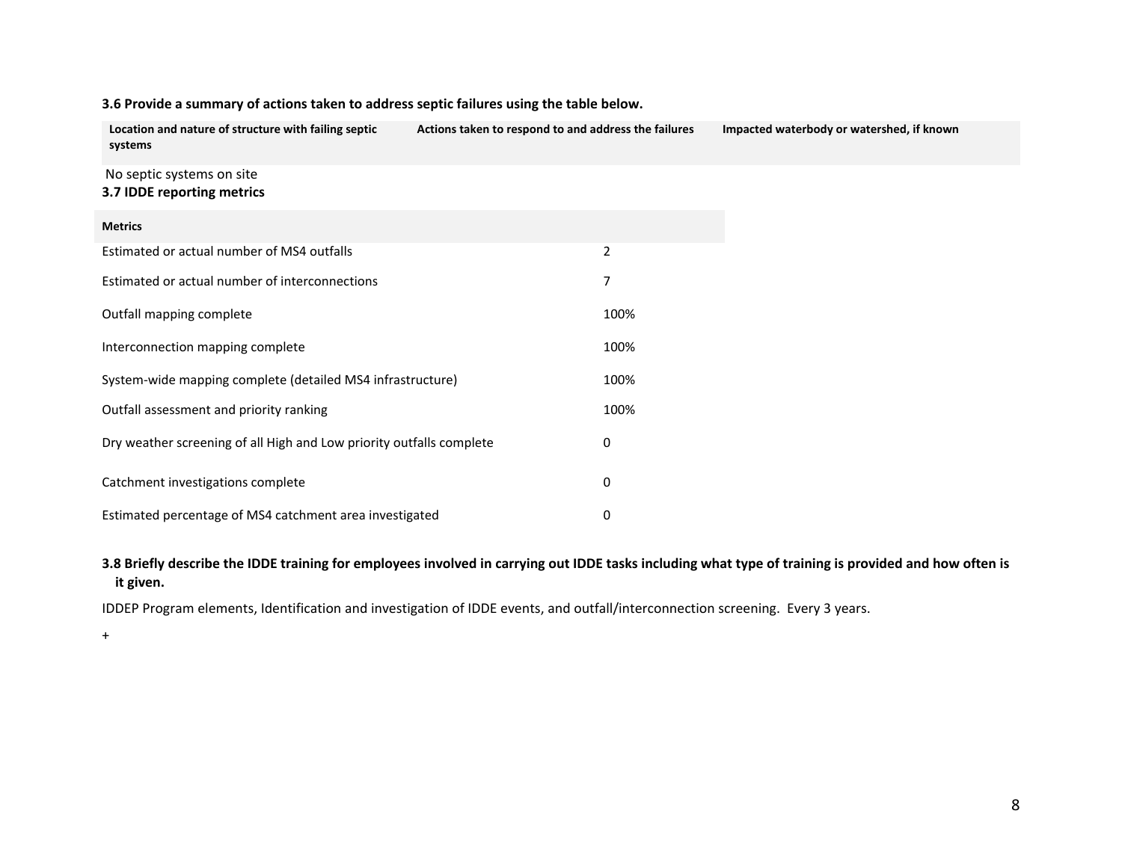| Location and nature of structure with failing septic<br>systems      | Actions taken to respond to and address the failures |                | Impacted waterbody or watershed, if known |
|----------------------------------------------------------------------|------------------------------------------------------|----------------|-------------------------------------------|
| No septic systems on site<br>3.7 IDDE reporting metrics              |                                                      |                |                                           |
| <b>Metrics</b>                                                       |                                                      |                |                                           |
| Estimated or actual number of MS4 outfalls                           |                                                      | $\overline{2}$ |                                           |
| Estimated or actual number of interconnections                       |                                                      | 7              |                                           |
| Outfall mapping complete                                             |                                                      | 100%           |                                           |
| Interconnection mapping complete                                     |                                                      | 100%           |                                           |
| System-wide mapping complete (detailed MS4 infrastructure)           |                                                      | 100%           |                                           |
| Outfall assessment and priority ranking                              |                                                      | 100%           |                                           |
| Dry weather screening of all High and Low priority outfalls complete |                                                      | 0              |                                           |
| Catchment investigations complete                                    |                                                      | 0              |                                           |
| Estimated percentage of MS4 catchment area investigated              |                                                      | 0              |                                           |

### **3.6 Provide <sup>a</sup> summary of actions taken to address septic failures using the table below.**

3.8 Briefly describe the IDDE training for employees involved in carrying out IDDE tasks including what type of training is provided and how often is **it given.**

IDDEP Program elements, Identification and investigation of IDDE events, and outfall/interconnection screening. Every 3 years.

+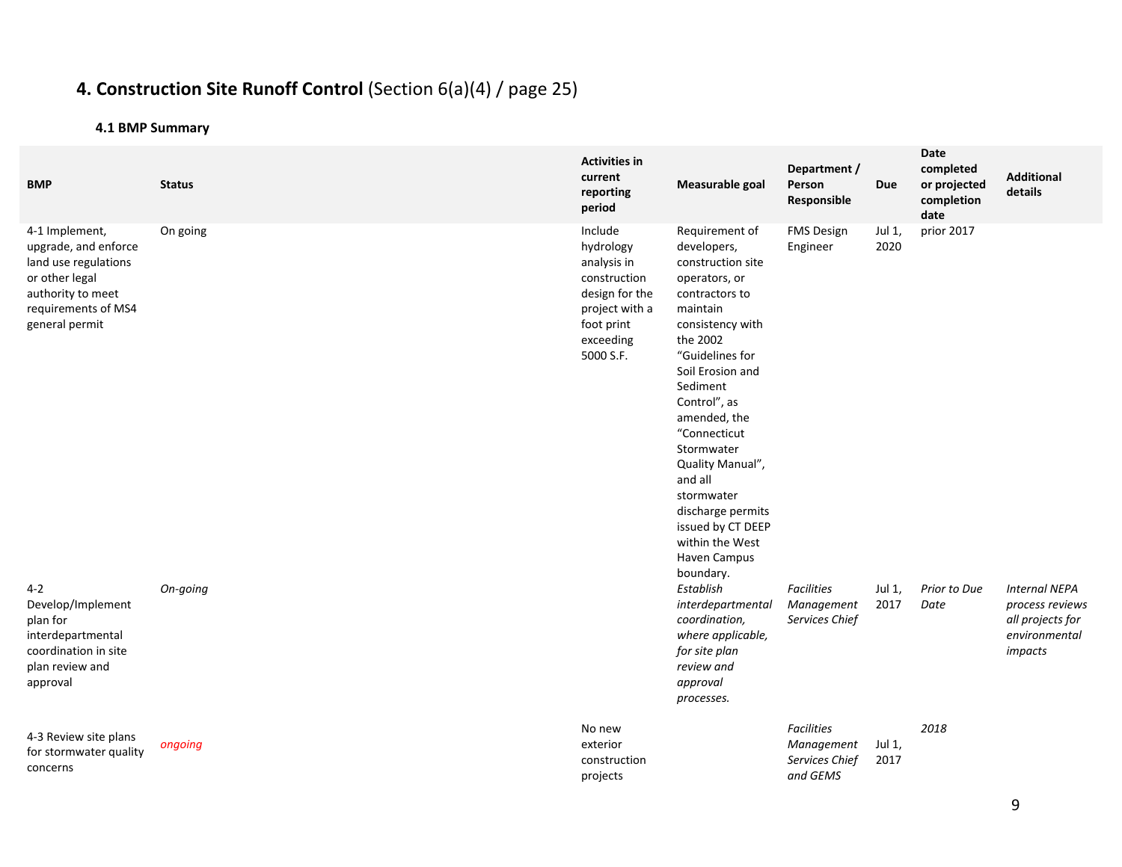# **4. Construction Site Runoff Control** (Section 6(a)(4) / page 25)

| <b>BMP</b>                                                                                                                                     | <b>Status</b> | <b>Activities in</b><br>current<br>reporting<br>period                                                                          | Measurable goal                                                                                                                                                                                                                                                                                                                                                                           | Department /<br>Person<br>Responsible                         | Due            | Date<br>completed<br>or projected<br>completion<br>date | <b>Additional</b><br>details                                                            |
|------------------------------------------------------------------------------------------------------------------------------------------------|---------------|---------------------------------------------------------------------------------------------------------------------------------|-------------------------------------------------------------------------------------------------------------------------------------------------------------------------------------------------------------------------------------------------------------------------------------------------------------------------------------------------------------------------------------------|---------------------------------------------------------------|----------------|---------------------------------------------------------|-----------------------------------------------------------------------------------------|
| 4-1 Implement,<br>upgrade, and enforce<br>land use regulations<br>or other legal<br>authority to meet<br>requirements of MS4<br>general permit | On going      | Include<br>hydrology<br>analysis in<br>construction<br>design for the<br>project with a<br>foot print<br>exceeding<br>5000 S.F. | Requirement of<br>developers,<br>construction site<br>operators, or<br>contractors to<br>maintain<br>consistency with<br>the 2002<br>"Guidelines for<br>Soil Erosion and<br>Sediment<br>Control", as<br>amended, the<br>"Connecticut<br>Stormwater<br>Quality Manual",<br>and all<br>stormwater<br>discharge permits<br>issued by CT DEEP<br>within the West<br>Haven Campus<br>boundary. | <b>FMS Design</b><br>Engineer                                 | Jul 1,<br>2020 | prior 2017                                              |                                                                                         |
| $4 - 2$<br>Develop/Implement<br>plan for<br>interdepartmental<br>coordination in site<br>plan review and<br>approval                           | On-going      |                                                                                                                                 | Establish<br>interdepartmental<br>coordination,<br>where applicable,<br>for site plan<br>review and<br>approval<br>processes.                                                                                                                                                                                                                                                             | <b>Facilities</b><br>Management<br>Services Chief             | Jul 1,<br>2017 | Prior to Due<br>Date                                    | <b>Internal NEPA</b><br>process reviews<br>all projects for<br>environmental<br>impacts |
| 4-3 Review site plans<br>for stormwater quality<br>concerns                                                                                    | ongoing       | No new<br>exterior<br>construction<br>projects                                                                                  |                                                                                                                                                                                                                                                                                                                                                                                           | <b>Facilities</b><br>Management<br>Services Chief<br>and GEMS | Jul 1,<br>2017 | 2018                                                    |                                                                                         |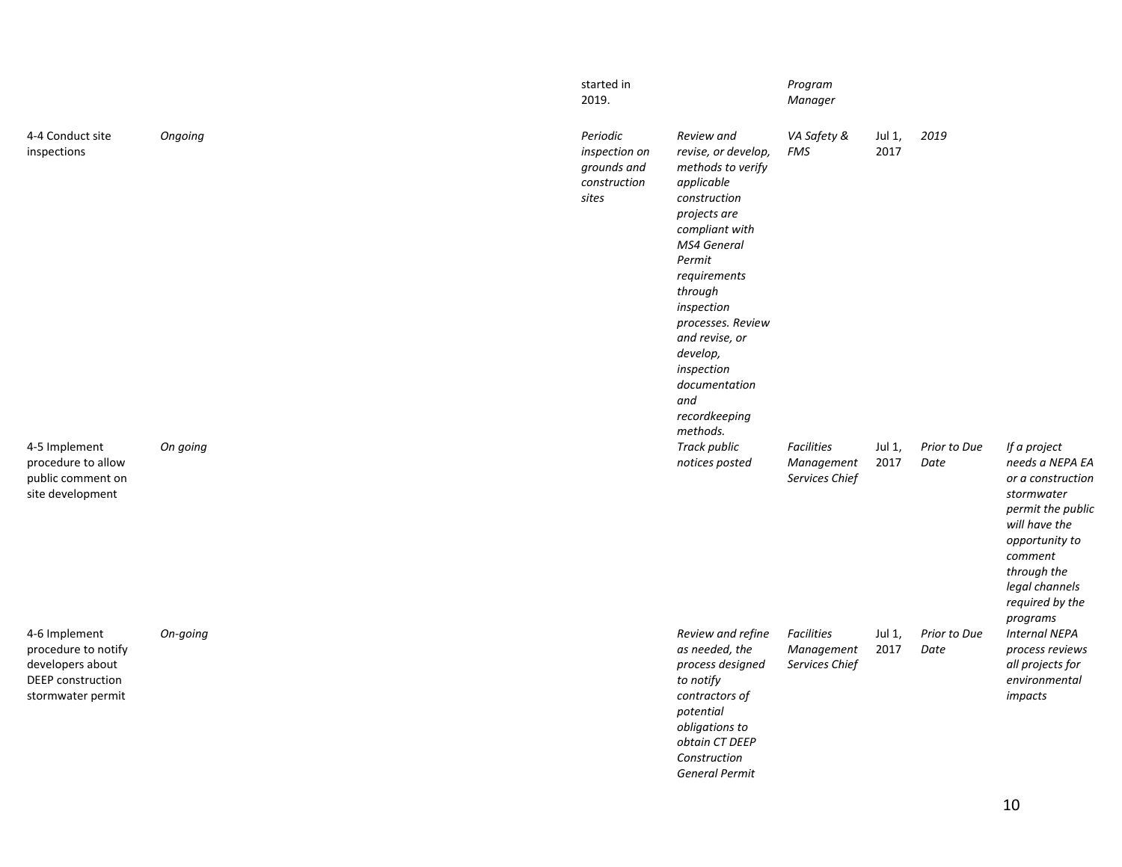|                                                                                                    |          | started in<br>2019.                                               |                                                                                                                                                                                                                                                                                                                | Program<br>Manager                         |                |                      |                                                                                                                                                                                                       |
|----------------------------------------------------------------------------------------------------|----------|-------------------------------------------------------------------|----------------------------------------------------------------------------------------------------------------------------------------------------------------------------------------------------------------------------------------------------------------------------------------------------------------|--------------------------------------------|----------------|----------------------|-------------------------------------------------------------------------------------------------------------------------------------------------------------------------------------------------------|
| 4-4 Conduct site<br>inspections                                                                    | Ongoing  | Periodic<br>inspection on<br>grounds and<br>construction<br>sites | Review and<br>revise, or develop,<br>methods to verify<br>applicable<br>construction<br>projects are<br>compliant with<br>MS4 General<br>Permit<br>requirements<br>through<br>inspection<br>processes. Review<br>and revise, or<br>develop,<br>inspection<br>documentation<br>and<br>recordkeeping<br>methods. | VA Safety &<br>FMS                         | Jul 1,<br>2017 | 2019                 |                                                                                                                                                                                                       |
| 4-5 Implement<br>procedure to allow<br>public comment on<br>site development                       | On going |                                                                   | <b>Track public</b><br>notices posted                                                                                                                                                                                                                                                                          | Facilities<br>Management<br>Services Chief | Jul 1,<br>2017 | Prior to Due<br>Date | If a project<br>needs a NEPA EA<br>or a construction<br>stormwater<br>permit the public<br>will have the<br>opportunity to<br>comment<br>through the<br>legal channels<br>required by the<br>programs |
| 4-6 Implement<br>procedure to notify<br>developers about<br>DEEP construction<br>stormwater permit | On-going |                                                                   | Review and refine<br>as needed, the<br>process designed<br>to notify<br>contractors of<br>potential<br>obligations to<br>obtain CT DEEP<br>Construction<br><b>General Permit</b>                                                                                                                               | Facilities<br>Management<br>Services Chief | Jul 1,<br>2017 | Prior to Due<br>Date | <b>Internal NEPA</b><br>process reviews<br>all projects for<br>environmental<br>impacts                                                                                                               |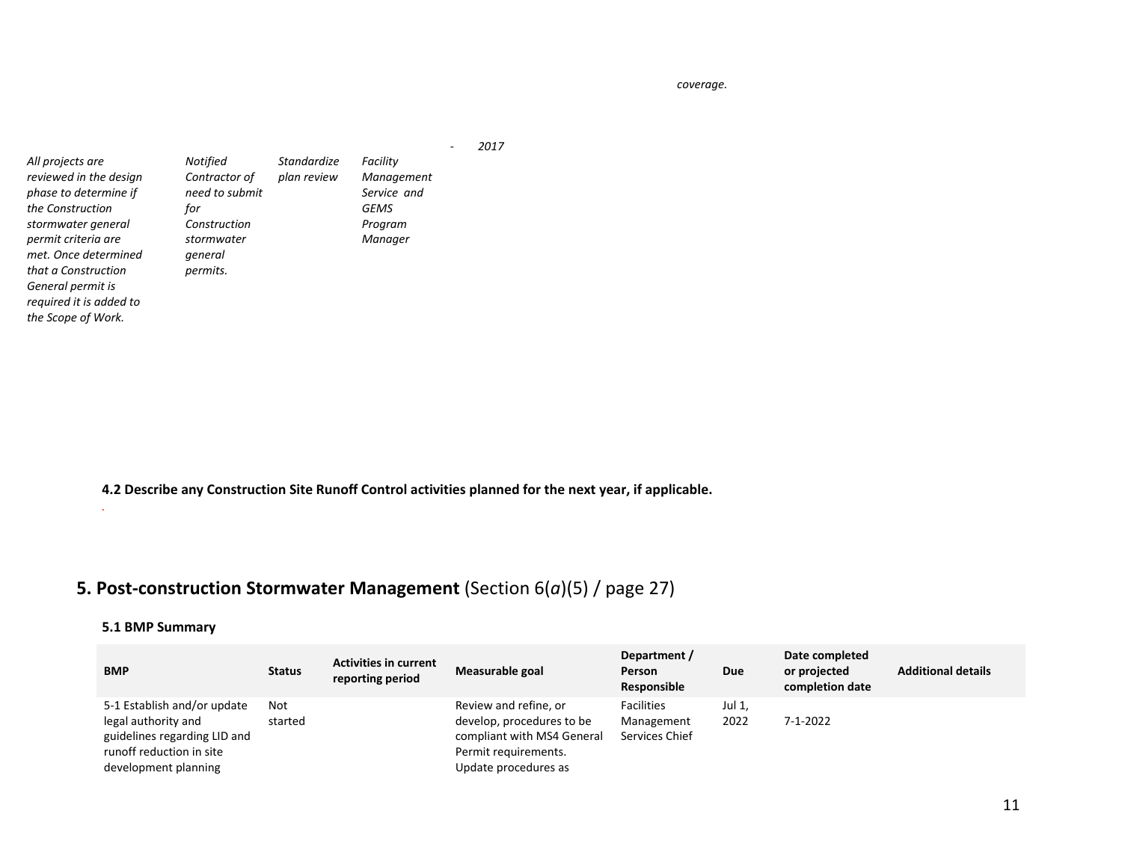*coverage.*

|                                             |                           |                            |                        | 2017 |
|---------------------------------------------|---------------------------|----------------------------|------------------------|------|
| All projects are<br>reviewed in the design  | Notified<br>Contractor of | Standardize<br>plan review | Facility<br>Management |      |
| phase to determine if                       | need to submit            |                            | Service and            |      |
| the Construction                            | for                       |                            | <b>GEMS</b>            |      |
| stormwater general                          | Construction              |                            | Program                |      |
| permit criteria are<br>met. Once determined | stormwater                |                            | Manager                |      |
| that a Construction                         | general<br>permits.       |                            |                        |      |
| General permit is                           |                           |                            |                        |      |
| required it is added to                     |                           |                            |                        |      |
| the Scope of Work.                          |                           |                            |                        |      |

**4.2 Describe any Construction Site Runoff Control activities planned for the next year, if applicable.**

# **5. Post‐construction Stormwater Management** (Section 6(*a*)(5) / page 27)

#### **5.1 BMP Summary**

*.*

| <b>BMP</b>                                                                                                                             | <b>Status</b>  | <b>Activities in current</b><br>reporting period | Measurable goal                                                                                                                  | Department /<br>Person<br>Responsible             | <b>Due</b>     | Date completed<br>or projected<br>completion date | <b>Additional details</b> |
|----------------------------------------------------------------------------------------------------------------------------------------|----------------|--------------------------------------------------|----------------------------------------------------------------------------------------------------------------------------------|---------------------------------------------------|----------------|---------------------------------------------------|---------------------------|
| 5-1 Establish and/or update<br>legal authority and<br>guidelines regarding LID and<br>runoff reduction in site<br>development planning | Not<br>started |                                                  | Review and refine, or<br>develop, procedures to be<br>compliant with MS4 General<br>Permit requirements.<br>Update procedures as | <b>Facilities</b><br>Management<br>Services Chief | Jul 1,<br>2022 | 7-1-2022                                          |                           |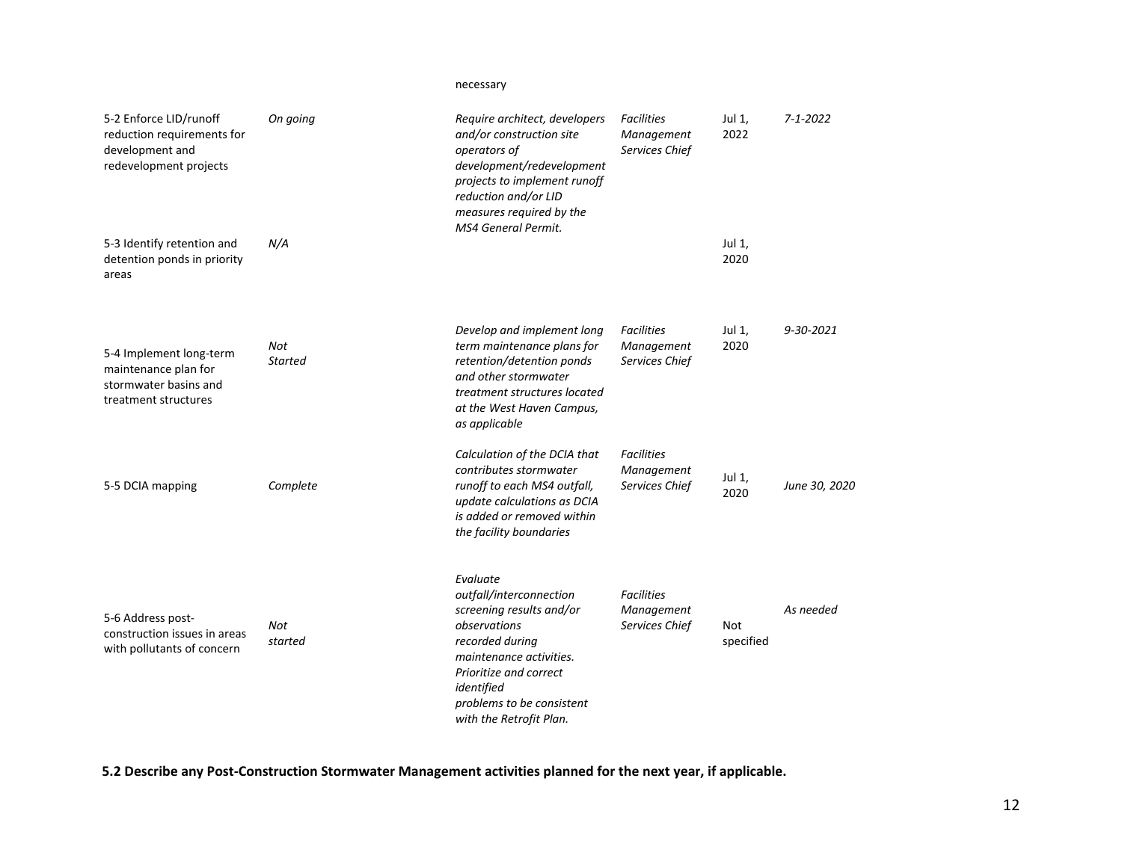### necessary

| 5-2 Enforce LID/runoff<br>reduction requirements for<br>development and<br>redevelopment projects | On going              | Require architect, developers<br>and/or construction site<br>operators of<br>development/redevelopment<br>projects to implement runoff<br>reduction and/or LID<br>measures required by the<br>MS4 General Permit.             | <b>Facilities</b><br>Management<br>Services Chief | Jul 1,<br>2022   | $7 - 1 - 2022$ |
|---------------------------------------------------------------------------------------------------|-----------------------|-------------------------------------------------------------------------------------------------------------------------------------------------------------------------------------------------------------------------------|---------------------------------------------------|------------------|----------------|
| 5-3 Identify retention and<br>detention ponds in priority<br>areas                                | N/A                   |                                                                                                                                                                                                                               |                                                   | Jul 1,<br>2020   |                |
| 5-4 Implement long-term<br>maintenance plan for<br>stormwater basins and<br>treatment structures  | Not<br><b>Started</b> | Develop and implement long<br>term maintenance plans for<br>retention/detention ponds<br>and other stormwater<br>treatment structures located<br>at the West Haven Campus,<br>as applicable                                   | <b>Facilities</b><br>Management<br>Services Chief | Jul 1,<br>2020   | 9-30-2021      |
| 5-5 DCIA mapping                                                                                  | Complete              | Calculation of the DCIA that<br>contributes stormwater<br>runoff to each MS4 outfall,<br>update calculations as DCIA<br>is added or removed within<br>the facility boundaries                                                 | <b>Facilities</b><br>Management<br>Services Chief | Jul 1,<br>2020   | June 30, 2020  |
| 5-6 Address post-<br>construction issues in areas<br>with pollutants of concern                   | Not<br>started        | Evaluate<br>outfall/interconnection<br>screening results and/or<br>observations<br>recorded during<br>maintenance activities.<br>Prioritize and correct<br>identified<br>problems to be consistent<br>with the Retrofit Plan. | <b>Facilities</b><br>Management<br>Services Chief | Not<br>specified | As needed      |

**5.2 Describe any Post‐Construction Stormwater Management activities planned for the next year, if applicable.**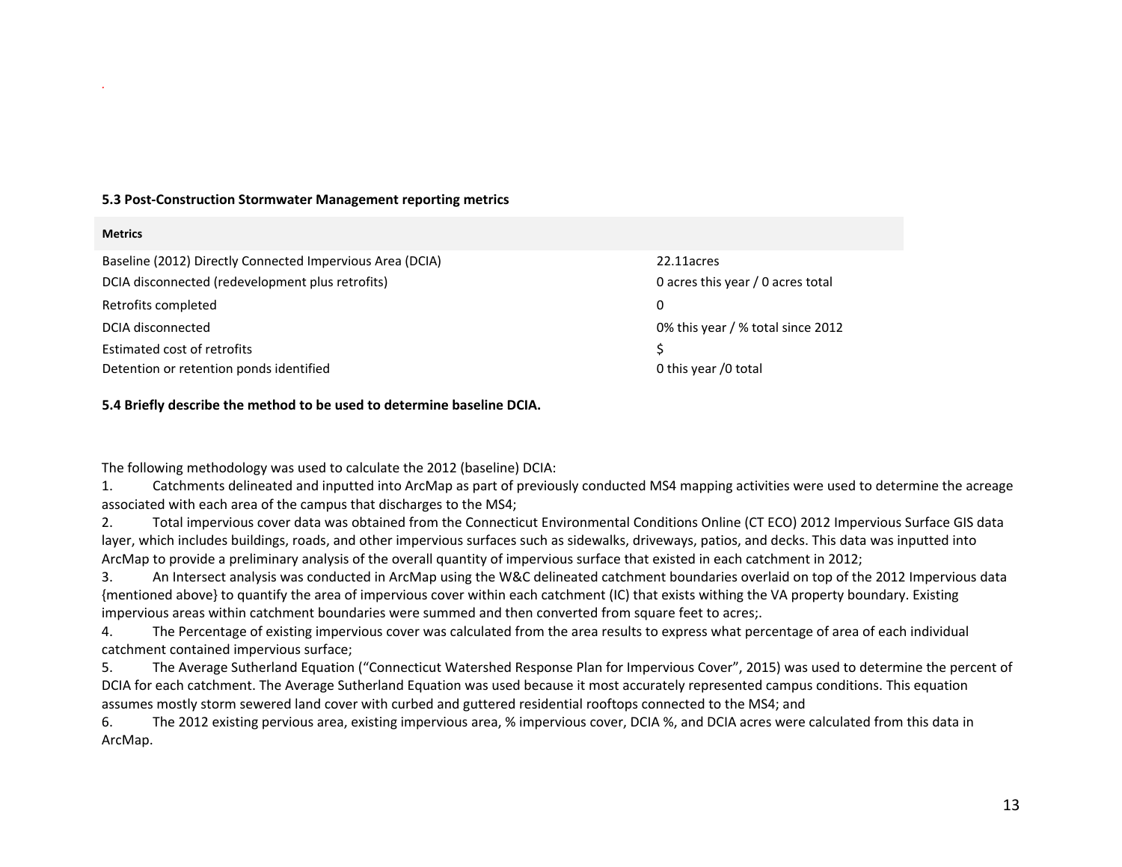#### **5.3 Post‐Construction Stormwater Management reporting metrics**

#### **Metrics**

| Baseline (2012) Directly Connected Impervious Area (DCIA) | 22.11acres                        |
|-----------------------------------------------------------|-----------------------------------|
| DCIA disconnected (redevelopment plus retrofits)          | 0 acres this year / 0 acres total |
| Retrofits completed                                       | 0                                 |
| DCIA disconnected                                         | 0% this year / % total since 2012 |
| Estimated cost of retrofits                               |                                   |
| Detention or retention ponds identified                   | 0 this year /0 total              |

#### **5.4 Briefly describe the method to be used to determine baseline DCIA.**

The following methodology was used to calculate the 2012 (baseline) DCIA:

1. Catchments delineated and inputted into ArcMap as part of previously conducted MS4 mapping activities were used to determine the acreage associated with each area of the campus that discharges to the MS4;

2. Total impervious cover data was obtained from the Connecticut Environmental Conditions Online (CT ECO) 2012 Impervious Surface GIS data layer, which includes buildings, roads, and other impervious surfaces such as sidewalks, driveways, patios, and decks. This data was inputted into ArcMap to provide <sup>a</sup> preliminary analysis of the overall quantity of impervious surface that existed in each catchment in 2012;

3. An Intersect analysis was conducted in ArcMap using the W&C delineated catchment boundaries overlaid on top of the 2012 Impervious data {mentioned above} to quantify the area of impervious cover within each catchment (IC) that exists withing the VA property boundary. Existing impervious areas within catchment boundaries were summed and then converted from square feet to acres;.

4. The Percentage of existing impervious cover was calculated from the area results to express what percentage of area of each individual catchment contained impervious surface;

5. The Average Sutherland Equation ("Connecticut Watershed Response Plan for Impervious Cover", 2015) was used to determine the percent of DCIA for each catchment. The Average Sutherland Equation was used because it most accurately represented campus conditions. This equation assumes mostly storm sewered land cover with curbed and guttered residential rooftops connected to the MS4; and

6. The 2012 existing pervious area, existing impervious area, % impervious cover, DCIA %, and DCIA acres were calculated from this data in ArcMap.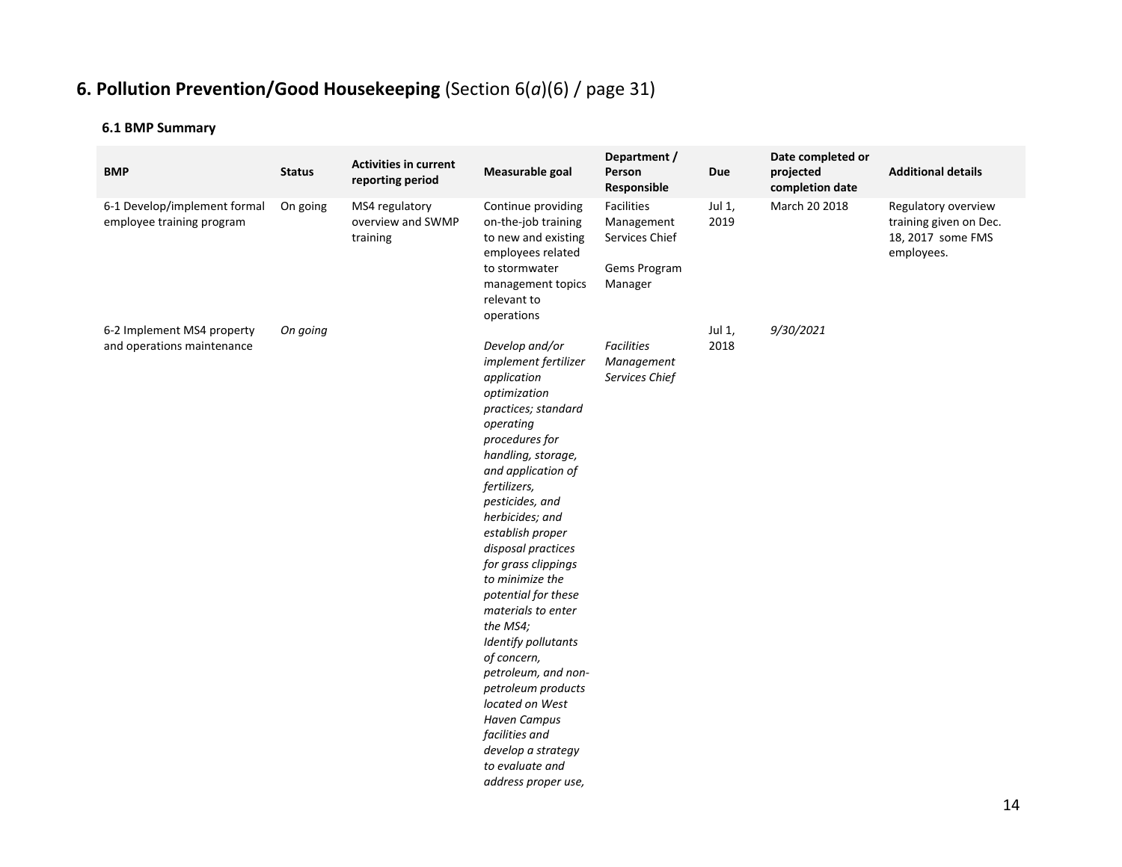# **6. Pollution Prevention/Good Housekeeping** (Section 6(*a*)(6) / page 31)

| <b>BMP</b>                                                | <b>Status</b> | <b>Activities in current</b><br>reporting period | Measurable goal                                                                                                                                                                                                                                                                                                                                                                                                                                                                                                                                                                           | Department /<br>Person<br>Responsible                                 | <b>Due</b>     | Date completed or<br>projected<br>completion date | <b>Additional details</b>                                                        |
|-----------------------------------------------------------|---------------|--------------------------------------------------|-------------------------------------------------------------------------------------------------------------------------------------------------------------------------------------------------------------------------------------------------------------------------------------------------------------------------------------------------------------------------------------------------------------------------------------------------------------------------------------------------------------------------------------------------------------------------------------------|-----------------------------------------------------------------------|----------------|---------------------------------------------------|----------------------------------------------------------------------------------|
| 6-1 Develop/implement formal<br>employee training program | On going      | MS4 regulatory<br>overview and SWMP<br>training  | Continue providing<br>on-the-job training<br>to new and existing<br>employees related<br>to stormwater<br>management topics<br>relevant to<br>operations                                                                                                                                                                                                                                                                                                                                                                                                                                  | Facilities<br>Management<br>Services Chief<br>Gems Program<br>Manager | Jul 1,<br>2019 | March 20 2018                                     | Regulatory overview<br>training given on Dec.<br>18, 2017 some FMS<br>employees. |
| 6-2 Implement MS4 property<br>and operations maintenance  | On going      |                                                  | Develop and/or<br>implement fertilizer<br>application<br>optimization<br>practices; standard<br>operating<br>procedures for<br>handling, storage,<br>and application of<br>fertilizers,<br>pesticides, and<br>herbicides; and<br>establish proper<br>disposal practices<br>for grass clippings<br>to minimize the<br>potential for these<br>materials to enter<br>the MS4;<br>Identify pollutants<br>of concern,<br>petroleum, and non-<br>petroleum products<br>located on West<br><b>Haven Campus</b><br>facilities and<br>develop a strategy<br>to evaluate and<br>address proper use, | <b>Facilities</b><br>Management<br>Services Chief                     | Jul 1,<br>2018 | 9/30/2021                                         |                                                                                  |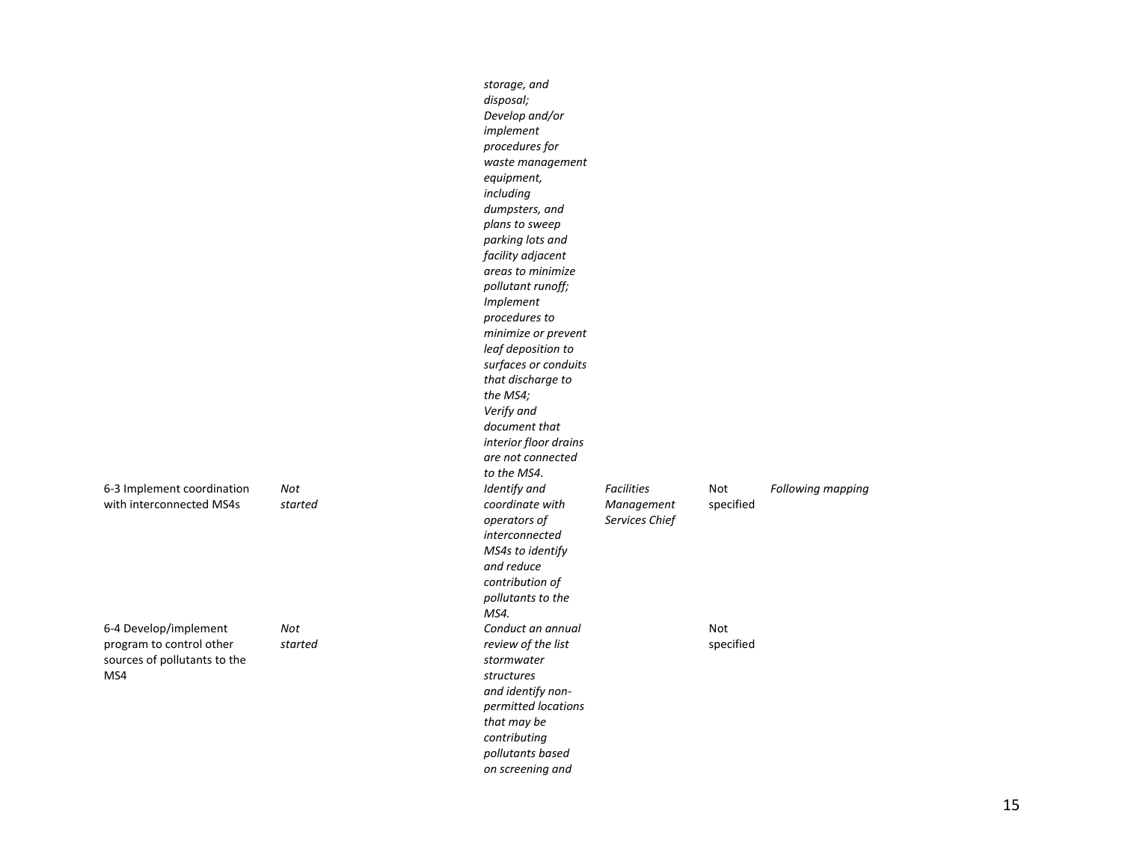|                                                                                          |                | storage, and<br>disposal;<br>Develop and/or<br>implement<br>procedures for<br>waste management<br>equipment,<br>including<br>dumpsters, and<br>plans to sweep<br>parking lots and<br>facility adjacent<br>areas to minimize<br>pollutant runoff;<br><i>Implement</i><br>procedures to<br>minimize or prevent<br>leaf deposition to<br>surfaces or conduits<br>that discharge to<br>the MS4;<br>Verify and<br>document that<br>interior floor drains<br>are not connected<br>to the MS4. |                                                   |                  |                   |
|------------------------------------------------------------------------------------------|----------------|-----------------------------------------------------------------------------------------------------------------------------------------------------------------------------------------------------------------------------------------------------------------------------------------------------------------------------------------------------------------------------------------------------------------------------------------------------------------------------------------|---------------------------------------------------|------------------|-------------------|
| 6-3 Implement coordination<br>with interconnected MS4s                                   | Not<br>started | Identify and<br>coordinate with<br>operators of<br>interconnected<br>MS4s to identify<br>and reduce<br>contribution of<br>pollutants to the<br>MS4.                                                                                                                                                                                                                                                                                                                                     | <b>Facilities</b><br>Management<br>Services Chief | Not<br>specified | Following mapping |
| 6-4 Develop/implement<br>program to control other<br>sources of pollutants to the<br>MS4 | Not<br>started | Conduct an annual<br>review of the list<br>stormwater<br>structures<br>and identify non-<br>permitted locations<br>that may be<br>contributing<br>pollutants based<br>on screening and                                                                                                                                                                                                                                                                                                  |                                                   | Not<br>specified |                   |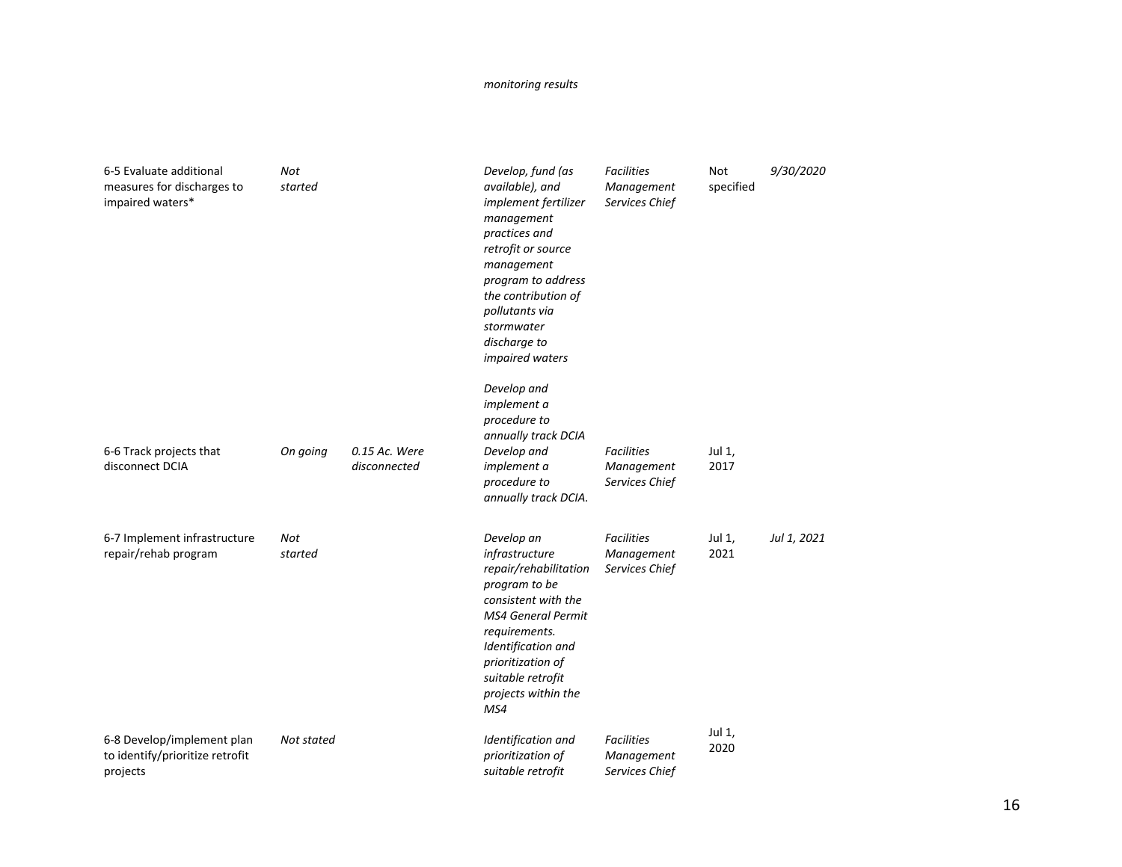#### *monitoring results*

| 6-5 Evaluate additional<br>measures for discharges to<br>impaired waters* | Not<br>started |                               | Develop, fund (as<br>available), and<br>implement fertilizer<br>management<br>practices and<br>retrofit or source<br>management<br>program to address<br>the contribution of<br>pollutants via<br>stormwater<br>discharge to<br>impaired waters<br>Develop and<br>implement a<br>procedure to<br>annually track DCIA | <b>Facilities</b><br>Management<br>Services Chief | Not<br>specified | 9/30/2020   |
|---------------------------------------------------------------------------|----------------|-------------------------------|----------------------------------------------------------------------------------------------------------------------------------------------------------------------------------------------------------------------------------------------------------------------------------------------------------------------|---------------------------------------------------|------------------|-------------|
| 6-6 Track projects that<br>disconnect DCIA                                | On going       | 0.15 Ac. Were<br>disconnected | Develop and<br><i>implement a</i><br>procedure to<br>annually track DCIA.                                                                                                                                                                                                                                            | <b>Facilities</b><br>Management<br>Services Chief | Jul 1,<br>2017   |             |
| 6-7 Implement infrastructure<br>repair/rehab program                      | Not<br>started |                               | Develop an<br>infrastructure<br>repair/rehabilitation<br>program to be<br>consistent with the<br><b>MS4 General Permit</b><br>requirements.<br>Identification and<br>prioritization of<br>suitable retrofit<br>projects within the<br>MS4                                                                            | <b>Facilities</b><br>Management<br>Services Chief | Jul 1,<br>2021   | Jul 1, 2021 |
| 6-8 Develop/implement plan<br>to identify/prioritize retrofit<br>projects | Not stated     |                               | Identification and<br>prioritization of<br>suitable retrofit                                                                                                                                                                                                                                                         | <b>Facilities</b><br>Management<br>Services Chief | Jul 1,<br>2020   |             |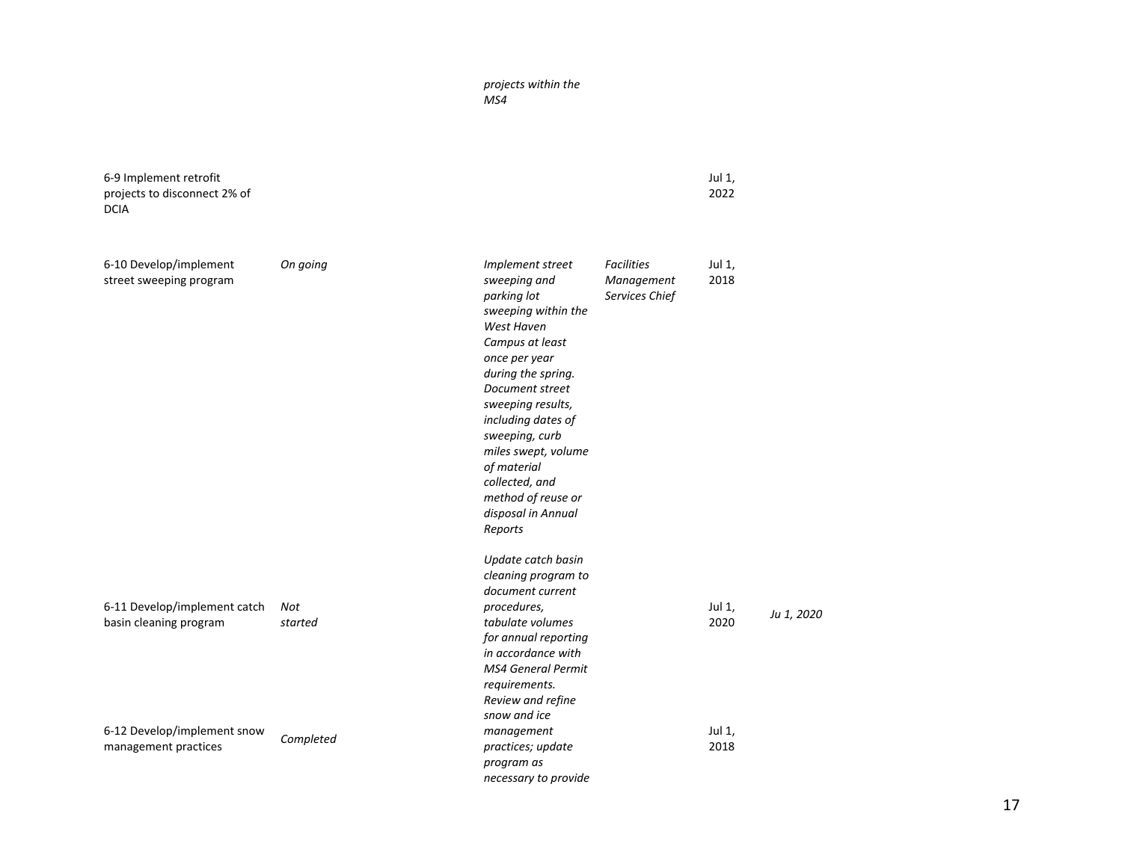### *projects within the MS4*

| 6-9 Implement retrofit<br>projects to disconnect 2% of<br><b>DCIA</b>                 |                |                                                                                                                                                                                                                                                                                                                                               |                                                   | Jul 1,<br>2022           |            |
|---------------------------------------------------------------------------------------|----------------|-----------------------------------------------------------------------------------------------------------------------------------------------------------------------------------------------------------------------------------------------------------------------------------------------------------------------------------------------|---------------------------------------------------|--------------------------|------------|
| 6-10 Develop/implement<br>street sweeping program                                     | On going       | Implement street<br>sweeping and<br>parking lot<br>sweeping within the<br>West Haven<br>Campus at least<br>once per year<br>during the spring.<br>Document street<br>sweeping results,<br>including dates of<br>sweeping, curb<br>miles swept, volume<br>of material<br>collected, and<br>method of reuse or<br>disposal in Annual<br>Reports | <b>Facilities</b><br>Management<br>Services Chief | Jul 1,<br>2018           |            |
| 6-11 Develop/implement catch<br>basin cleaning program<br>6-12 Develop/implement snow | Not<br>started | Update catch basin<br>cleaning program to<br>document current<br>procedures,<br>tabulate volumes<br>for annual reporting<br>in accordance with<br><b>MS4 General Permit</b><br>requirements.<br>Review and refine<br>snow and ice<br>management                                                                                               |                                                   | Jul 1,<br>2020<br>Jul 1, | Ju 1, 2020 |
| management practices                                                                  | Completed      | practices; update<br>program as<br>necessary to provide                                                                                                                                                                                                                                                                                       |                                                   | 2018                     |            |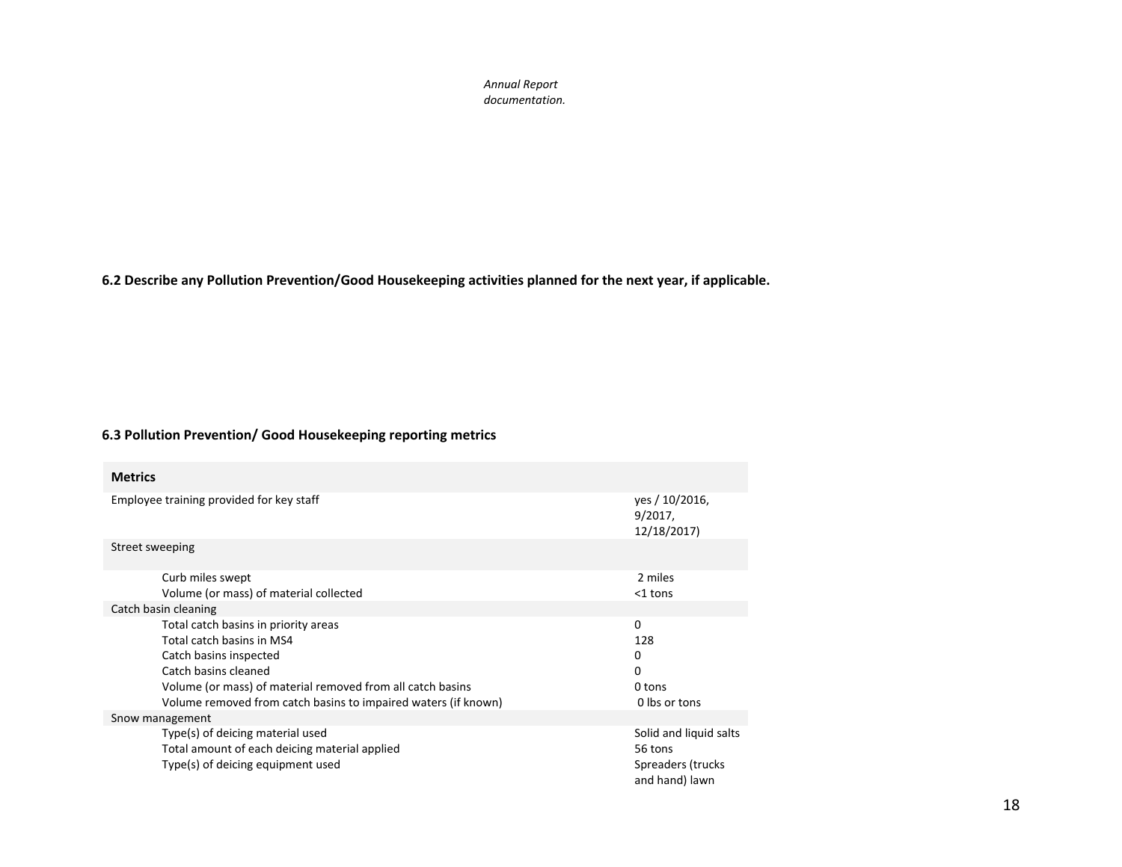*Annual Report documentation.*

**6.2 Describe any Pollution Prevention/Good Housekeeping activities planned for the next year, if applicable.**

#### **6.3 Pollution Prevention/ Good Housekeeping reporting metrics**

| <b>Metrics</b>                                                 |                                             |
|----------------------------------------------------------------|---------------------------------------------|
| Employee training provided for key staff                       | yes / 10/2016,<br>$9/2017$ ,<br>12/18/2017) |
| Street sweeping                                                |                                             |
| Curb miles swept                                               | 2 miles                                     |
| Volume (or mass) of material collected                         | $<$ 1 tons                                  |
| Catch basin cleaning                                           |                                             |
| Total catch basins in priority areas                           | $\Omega$                                    |
| Total catch basins in MS4                                      | 128                                         |
| Catch basins inspected                                         | 0                                           |
| Catch basins cleaned                                           | 0                                           |
| Volume (or mass) of material removed from all catch basins     | 0 tons                                      |
| Volume removed from catch basins to impaired waters (if known) | 0 lbs or tons                               |
| Snow management                                                |                                             |
| Type(s) of deicing material used                               | Solid and liquid salts                      |
| Total amount of each deicing material applied                  | 56 tons                                     |
| Type(s) of deicing equipment used                              | Spreaders (trucks<br>and hand) lawn         |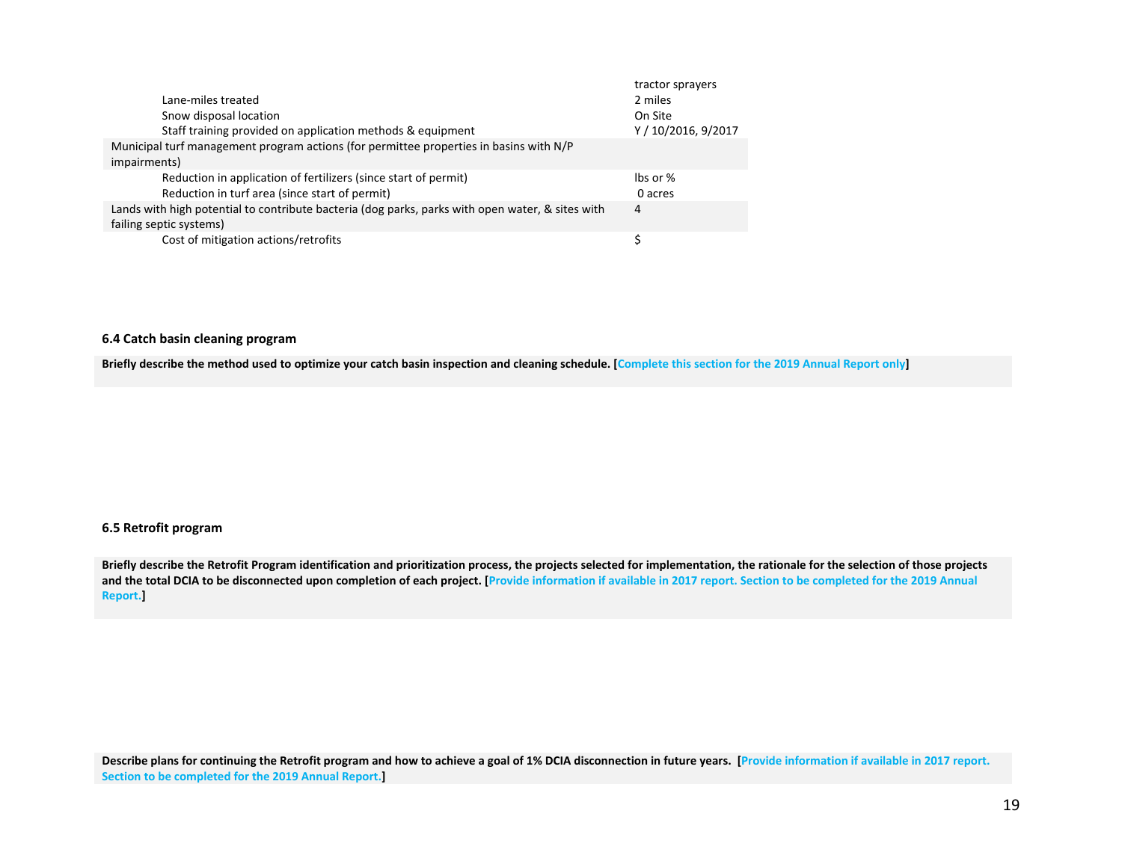| tractor sprayers                |
|---------------------------------|
| 2 miles                         |
| On Site                         |
| Y / 10/2016, 9/2017             |
|                                 |
| $\mathsf{I}\mathsf{bs}$ or $\%$ |
| 0 acres                         |
| 4                               |
|                                 |
|                                 |
|                                 |

#### **6.4 Catch basin cleaning program**

Briefly describe the method used to optimize your catch basin inspection and cleaning schedule. [Complete this section for the 2019 Annual Report only]

#### **6.5 Retrofit program**

Briefly describe the Retrofit Program identification and prioritization process, the projects selected for implementation, the rationale for the selection of those projects and the total DCIA to be disconnected upon completion of each project. [Provide information if available in 2017 report. Section to be completed for the 2019 Annual **Report.]**

Describe plans for continuing the Retrofit program and how to achieve a goal of 1% DCIA disconnection in future years. [Provide information if available in 2017 report. **Section to be completed for the 2019 Annual Report.]**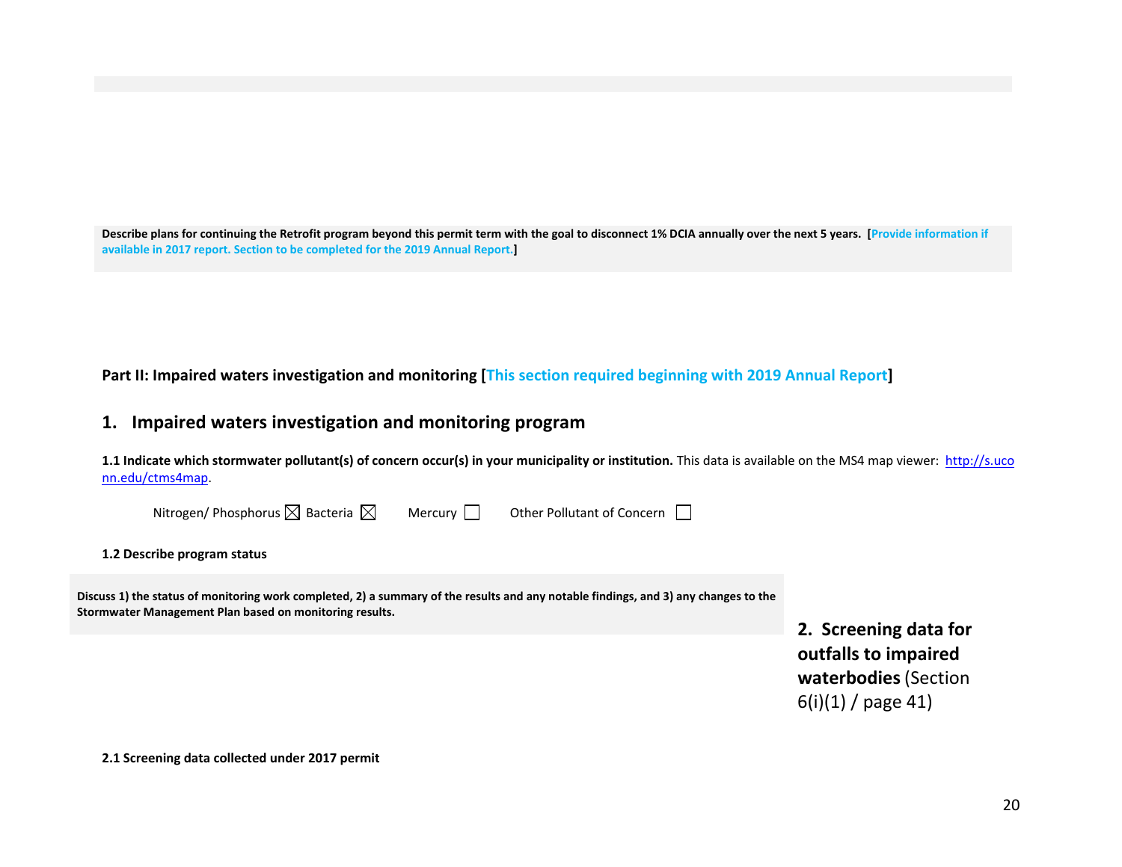Describe plans for continuing the Retrofit program beyond this permit term with the goal to disconnect 1% DCIA annually over the next 5 years. [Provide information if **available in 2017 report. Section to be completed for the 2019 Annual Report.]**

**Part II: Impaired waters investigation and monitoring [This section required beginning with 2019 Annual Report]**

# **1. Impaired waters investigation and monitoring program**

1.1 Indicate which stormwater pollutant(s) of concern occur(s) in your municipality or institution. This data is available on the MS4 map viewer: http://s.uco nn.edu/ctms4map.

| Nitrogen/ Phosphorus $\boxtimes$ Bacteria $\boxtimes$                                                                                                                                          | Mercury | Other Pollutant of Concern |                                                                                               |
|------------------------------------------------------------------------------------------------------------------------------------------------------------------------------------------------|---------|----------------------------|-----------------------------------------------------------------------------------------------|
| 1.2 Describe program status                                                                                                                                                                    |         |                            |                                                                                               |
| Discuss 1) the status of monitoring work completed, 2) a summary of the results and any notable findings, and 3) any changes to the<br>Stormwater Management Plan based on monitoring results. |         |                            | 2. Screening data for<br>outfalls to impaired<br>waterbodies (Section<br>$6(i)(1)$ / page 41) |

**2.1 Screening data collected under 2017 permit**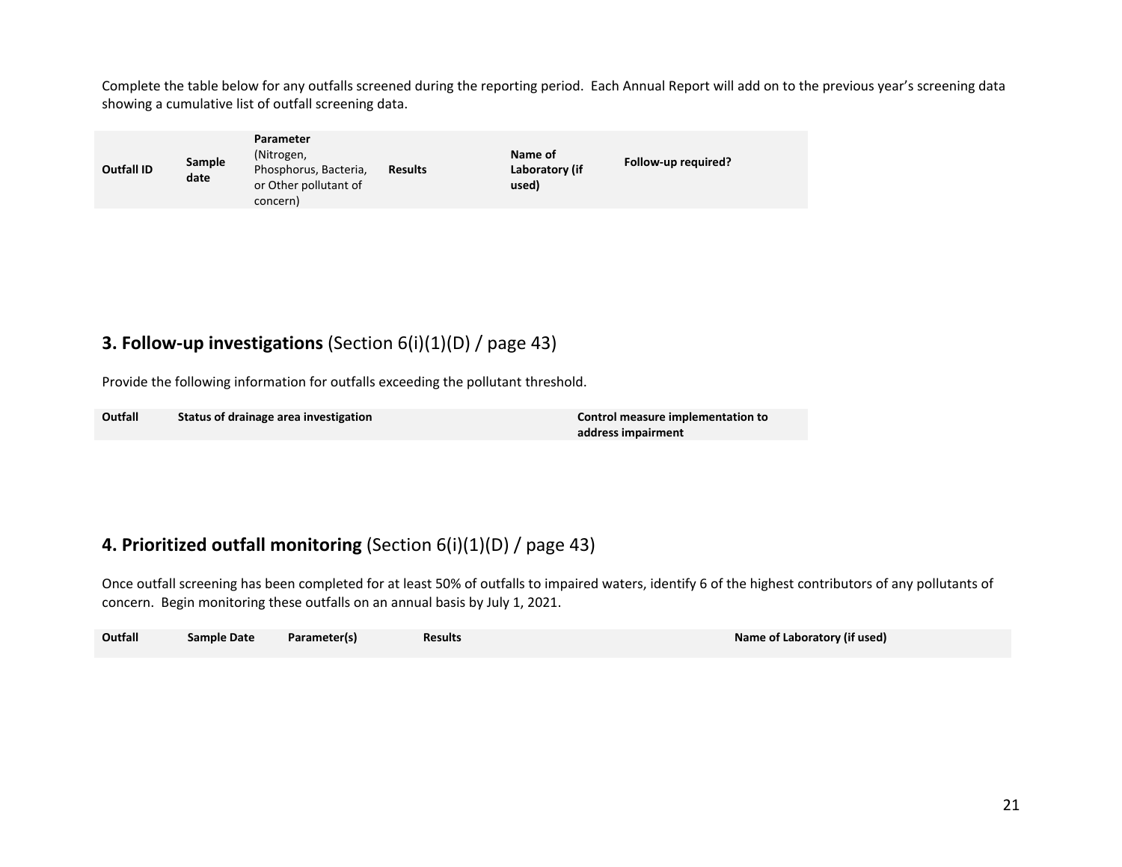Complete the table below for any outfalls screened during the reporting period. Each Annual Report will add on to the previous year's screening data showing <sup>a</sup> cumulative list of outfall screening data.

| Sample<br><b>Outfall ID</b><br>date | Parameter<br>(Nitrogen,<br>Phosphorus, Bacteria,<br>or Other pollutant of<br>concern) | <b>Results</b> | Name of<br>Laboratory (if<br>used) | Follow-up required? |
|-------------------------------------|---------------------------------------------------------------------------------------|----------------|------------------------------------|---------------------|
|-------------------------------------|---------------------------------------------------------------------------------------|----------------|------------------------------------|---------------------|

# **3. Follow‐up investigations** (Section 6(i)(1)(D) / page 43)

Provide the following information for outfalls exceeding the pollutant threshold.

| Outfall | Status of drainage area investigation | Control measure implementation to |
|---------|---------------------------------------|-----------------------------------|
|         |                                       | address impairment                |

# **4. Prioritized outfall monitoring** (Section 6(i)(1)(D) / page 43)

Once outfall screening has been completed for at least 50% of outfalls to impaired waters, identify 6 of the highest contributors of any pollutants of concern. Begin monitoring these outfalls on an annual basis by July 1, 2021.

| Outfall<br>Name of Laboratory (if used)<br>Parameter(s)<br><b>Sample Date</b><br><b>Results</b> |  |
|-------------------------------------------------------------------------------------------------|--|
|-------------------------------------------------------------------------------------------------|--|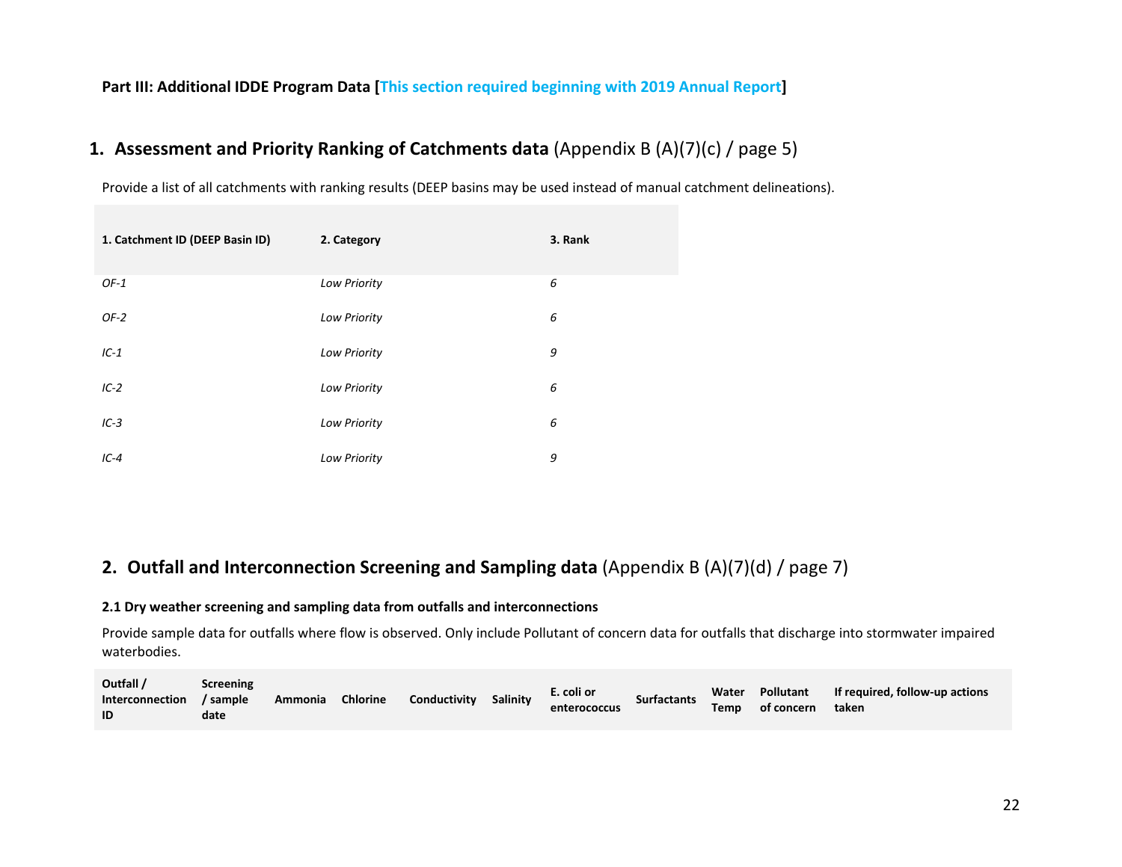## **Part III: Additional IDDE Program Data [This section required beginning with 2019 Annual Report]**

# **1. Assessment and Priority Ranking of Catchments data** (Appendix B (A)(7)(c) / page 5)

Provide <sup>a</sup> list of all catchments with ranking results (DEEP basins may be used instead of manual catchment delineations).

| 1. Catchment ID (DEEP Basin ID) | 2. Category         | 3. Rank |
|---------------------------------|---------------------|---------|
| $OF-1$                          | Low Priority        | 6       |
| $OF-2$                          | <b>Low Priority</b> | 6       |
| $IC-1$                          | Low Priority        | 9       |
| $IC-2$                          | Low Priority        | 6       |
| $IC-3$                          | Low Priority        | 6       |
| $IC-4$                          | <b>Low Priority</b> | 9       |

# **2. Outfall and Interconnection Screening and Sampling data** (Appendix B (A)(7)(d) / page 7)

## **2.1 Dry weather screening and sampling data from outfalls and interconnections**

Provide sample data for outfalls where flow is observed. Only include Pollutant of concern data for outfalls that discharge into stormwater impaired waterbodies.

| Outfall /<br>Interconnection<br>ID | <b>Screening</b><br>/ sample<br>date | Ammonia | <b>Chlorine</b> | Conductivity | Salinity | E. coli or<br>enterococcus | <b>Surfactants</b> | Water<br><b>Temp</b> | Pollutant<br>of concern | If required, follow-up actions<br>taken |
|------------------------------------|--------------------------------------|---------|-----------------|--------------|----------|----------------------------|--------------------|----------------------|-------------------------|-----------------------------------------|
|------------------------------------|--------------------------------------|---------|-----------------|--------------|----------|----------------------------|--------------------|----------------------|-------------------------|-----------------------------------------|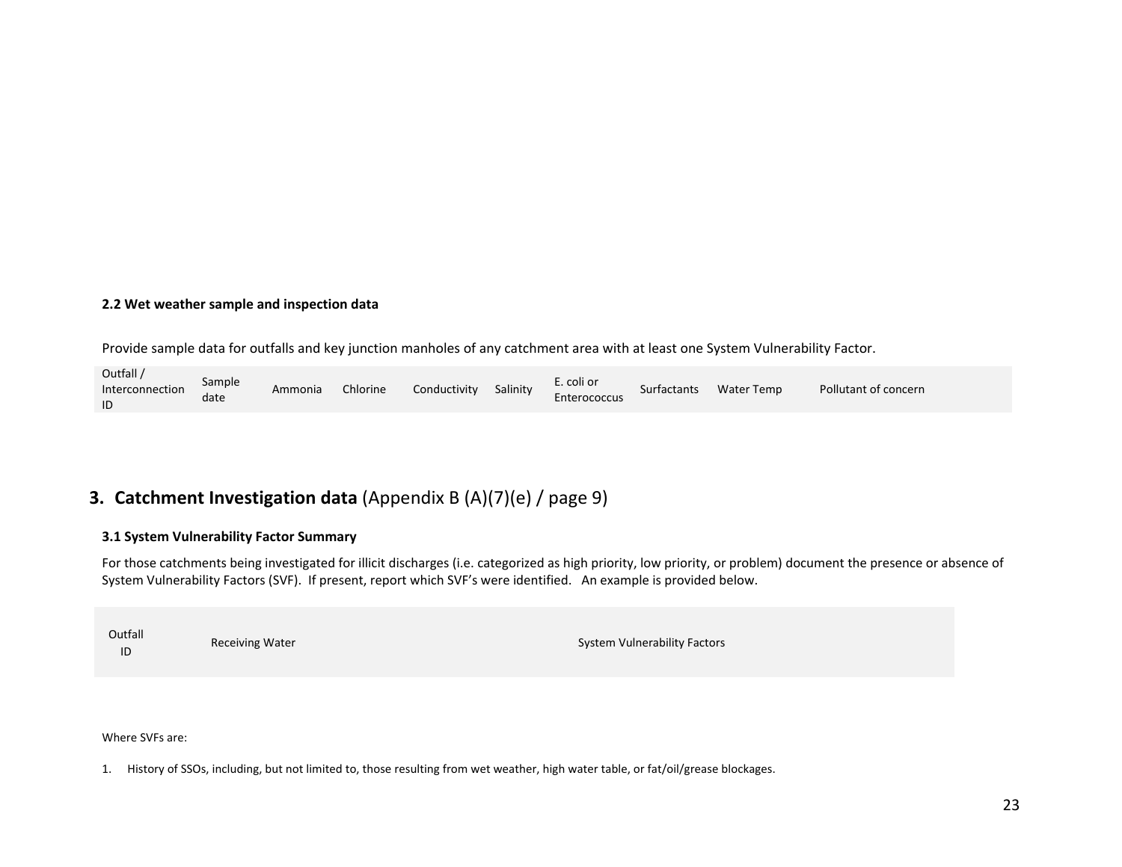### **2.2 Wet weather sample and inspection data**

Provide sample data for outfalls and key junction manholes of any catchment area with at least one System Vulnerability Factor.

| Outfall /<br>E. coli or<br>Sample<br>Chlorine<br>Conductivity<br>Salinity<br>Interconnection<br>Surfactants<br>Ammonia<br>Enterococcus<br>date<br>ID | <b>Water Temp</b><br>Pollutant of concern |
|------------------------------------------------------------------------------------------------------------------------------------------------------|-------------------------------------------|
|------------------------------------------------------------------------------------------------------------------------------------------------------|-------------------------------------------|

# **3. Catchment Investigation data** (Appendix B (A)(7)(e) / page 9)

## **3.1 System Vulnerability Factor Summary**

For those catchments being investigated for illicit discharges (i.e. categorized as high priority, low priority, or problem) document the presence or absence of System Vulnerability Factors (SVF). If present, report which SVF's were identified. An example is provided below.

Outfall ID

Receiving Water System Vulnerability Factors

Where SVFs are:

1. History of SSOs, including, but not limited to, those resulting from wet weather, high water table, or fat/oil/grease blockages.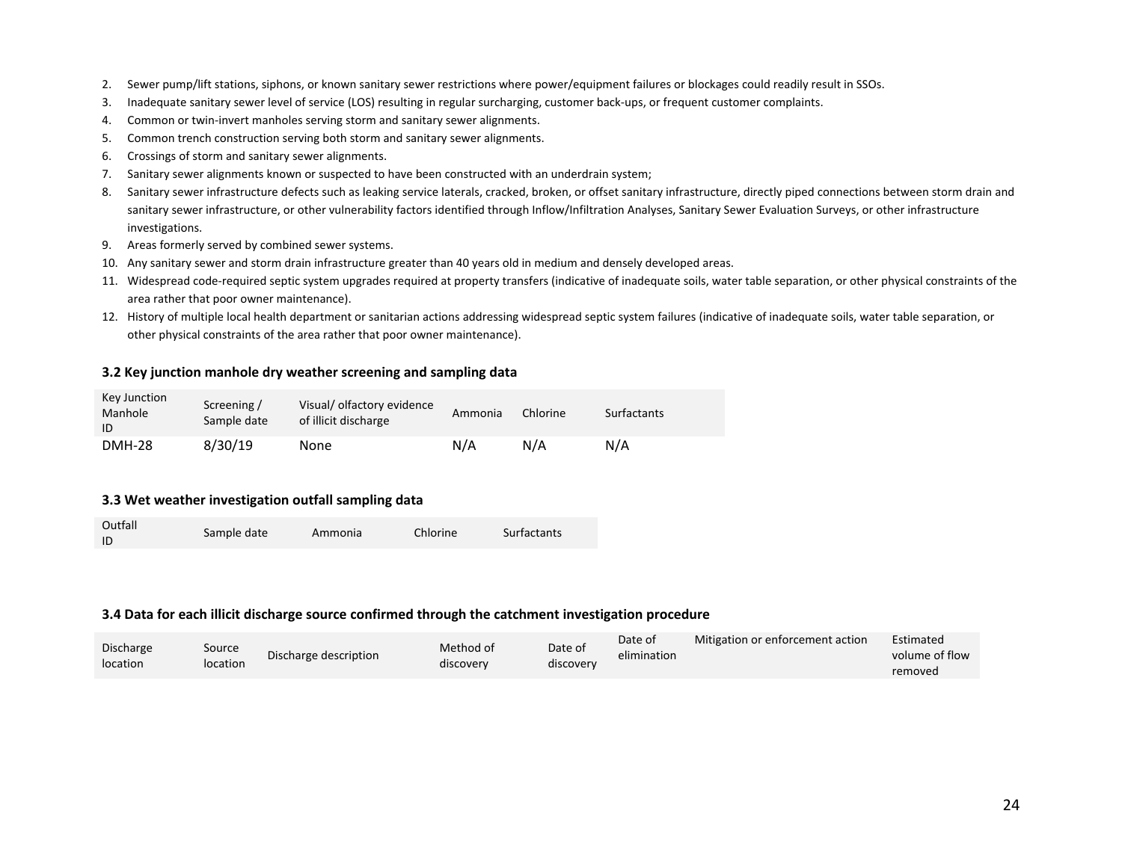- 2. Sewer pump/lift stations, siphons, or known sanitary sewer restrictions where power/equipment failures or blockages could readily result in SSOs.
- 3.Inadequate sanitary sewer level of service (LOS) resulting in regular surcharging, customer back‐ups, or frequent customer complaints.
- 4. Common or twin‐invert manholes serving storm and sanitary sewer alignments.
- 5. Common trench construction serving both storm and sanitary sewer alignments.
- 6. Crossings of storm and sanitary sewer alignments.
- 7. Sanitary sewer alignments known or suspected to have been constructed with an underdrain system;
- 8. Sanitary sewer infrastructure defects such as leaking service laterals, cracked, broken, or offset sanitary infrastructure, directly piped connections between storm drain and sanitary sewer infrastructure, or other vulnerability factors identified through Inflow/Infiltration Analyses, Sanitary Sewer Evaluation Surveys, or other infrastructure investigations.
- 9. Areas formerly served by combined sewer systems.
- 10. Any sanitary sewer and storm drain infrastructure greater than 40 years old in medium and densely developed areas.
- 11. Widespread code-required septic system upgrades required at property transfers (indicative of inadequate soils, water table separation, or other physical constraints of the area rather that poor owner maintenance).
- 12. History of multiple local health department or sanitarian actions addressing widespread septic system failures (indicative of inadequate soils, water table separation, or other physical constraints of the area rather that poor owner maintenance).

#### **3.2 Key junction manhole dry weather screening and sampling data**

| Key Junction<br>Manhole<br>ID | Screening /<br>Sample date | Visual/olfactory evidence<br>of illicit discharge | Ammonia | Chlorine | Surfactants |
|-------------------------------|----------------------------|---------------------------------------------------|---------|----------|-------------|
| <b>DMH-28</b>                 | 8/30/19                    | None                                              | N/A     | N/A      | N/A         |

### **3.3 Wet weather investigation outfall sampling data**

 $\sim$   $\sim$   $\sim$ 

| Outfall<br>-ID | Sample date | Ammonia | Chlorine | Surfactants |
|----------------|-------------|---------|----------|-------------|
|                |             |         |          |             |

#### **3.4 Data for each illicit discharge source confirmed through the catchment investigation procedure**

| Discharge |                    |                       | Method of | Date of   | Date of     | Mitigation or enforcement action | Estimated      |
|-----------|--------------------|-----------------------|-----------|-----------|-------------|----------------------------------|----------------|
| location  | Source<br>location | Discharge description |           |           | elimination |                                  | volume of flow |
|           |                    |                       | discovery | discovery |             |                                  | removed        |